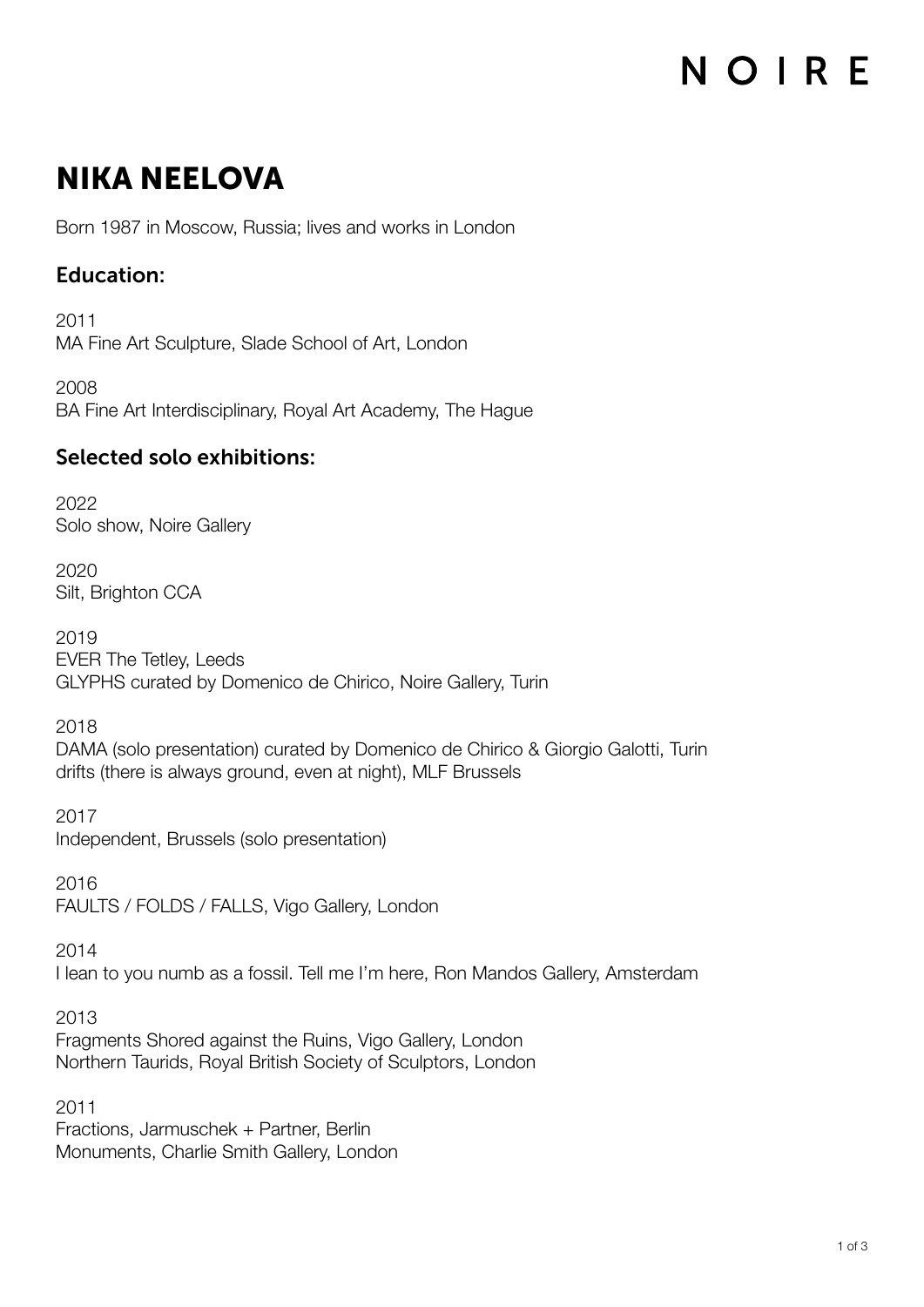### NIKA NEELOVA

Born 1987 in Moscow, Russia; lives and works in London

#### Education:

2011 MA Fine Art Sculpture, Slade School of Art, London

2008 BA Fine Art Interdisciplinary, Royal Art Academy, The Hague

### Selected solo exhibitions:

2022 Solo show, Noire Gallery

2020 Silt, Brighton CCA

2019 EVER The Tetley, Leeds GLYPHS curated by Domenico de Chirico, Noire Gallery, Turin

2018

DAMA (solo presentation) curated by Domenico de Chirico & Giorgio Galotti, Turin drifts (there is always ground, even at night), MLF Brussels

2017 Independent, Brussels (solo presentation)

2016 FAULTS / FOLDS / FALLS, Vigo Gallery, London

2014 I lean to you numb as a fossil. Tell me I'm here, Ron Mandos Gallery, Amsterdam

2013 Fragments Shored against the Ruins, Vigo Gallery, London Northern Taurids, Royal British Society of Sculptors, London

2011 Fractions, Jarmuschek + Partner, Berlin Monuments, Charlie Smith Gallery, London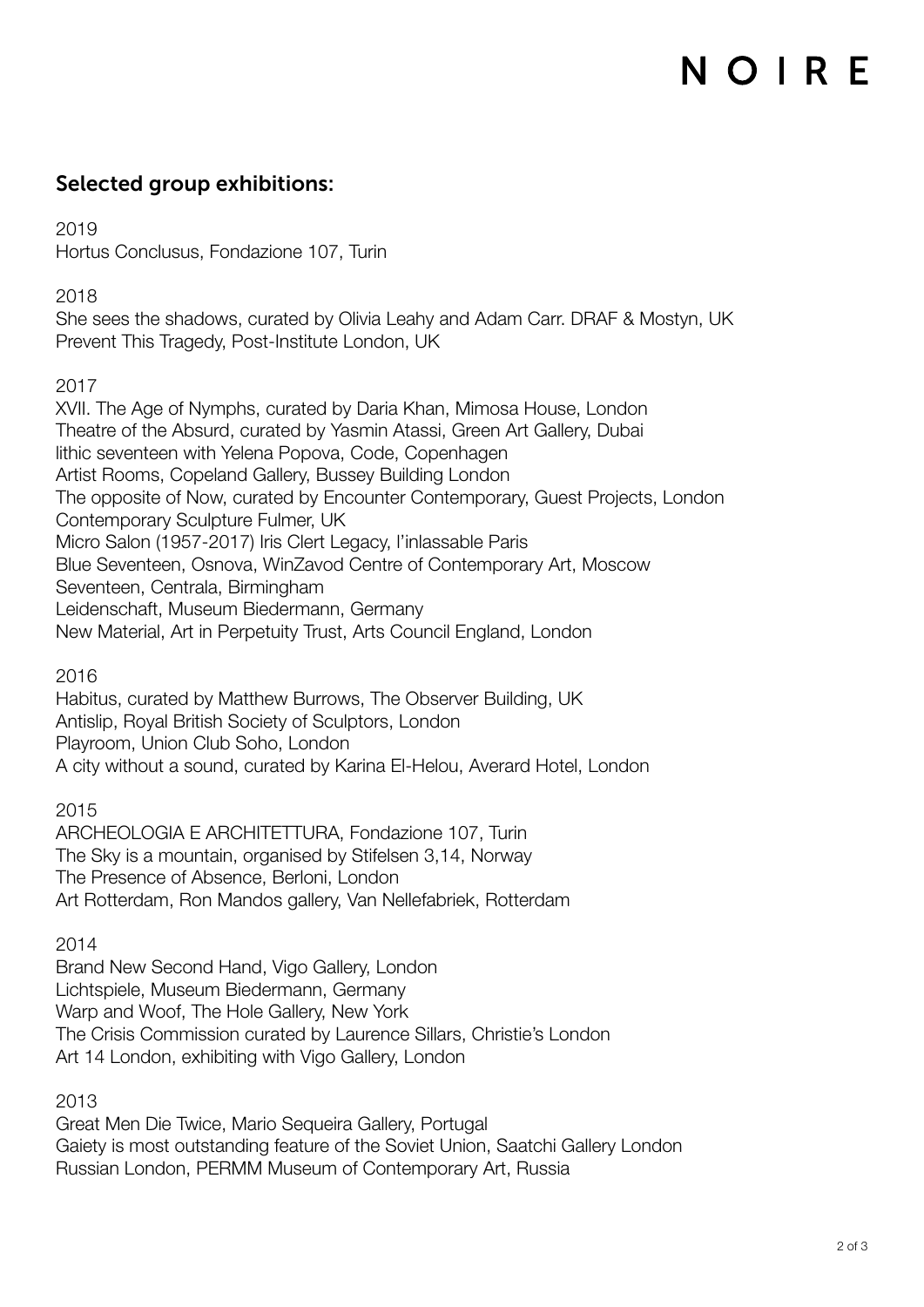### Selected group exhibitions:

2019

Hortus Conclusus, Fondazione 107, Turin

2018

She sees the shadows, curated by Olivia Leahy and Adam Carr. DRAF & Mostyn, UK Prevent This Tragedy, Post-Institute London, UK

2017

XVII. The Age of Nymphs, curated by Daria Khan, Mimosa House, London Theatre of the Absurd, curated by Yasmin Atassi, Green Art Gallery, Dubai lithic seventeen with Yelena Popova, Code, Copenhagen Artist Rooms, Copeland Gallery, Bussey Building London The opposite of Now, curated by Encounter Contemporary, Guest Projects, London Contemporary Sculpture Fulmer, UK Micro Salon (1957-2017) Iris Clert Legacy, l'inlassable Paris Blue Seventeen, Osnova, WinZavod Centre of Contemporary Art, Moscow Seventeen, Centrala, Birmingham Leidenschaft, Museum Biedermann, Germany New Material, Art in Perpetuity Trust, Arts Council England, London

2016

Habitus, curated by Matthew Burrows, The Observer Building, UK Antislip, Royal British Society of Sculptors, London Playroom, Union Club Soho, London A city without a sound, curated by Karina El-Helou, Averard Hotel, London

2015

ARCHEOLOGIA E ARCHITETTURA, Fondazione 107, Turin The Sky is a mountain, organised by Stifelsen 3,14, Norway The Presence of Absence, Berloni, London Art Rotterdam, Ron Mandos gallery, Van Nellefabriek, Rotterdam

2014

Brand New Second Hand, Vigo Gallery, London Lichtspiele, Museum Biedermann, Germany Warp and Woof, The Hole Gallery, New York The Crisis Commission curated by Laurence Sillars, Christie's London Art 14 London, exhibiting with Vigo Gallery, London

2013

Great Men Die Twice, Mario Sequeira Gallery, Portugal Gaiety is most outstanding feature of the Soviet Union, Saatchi Gallery London Russian London, PERMM Museum of Contemporary Art, Russia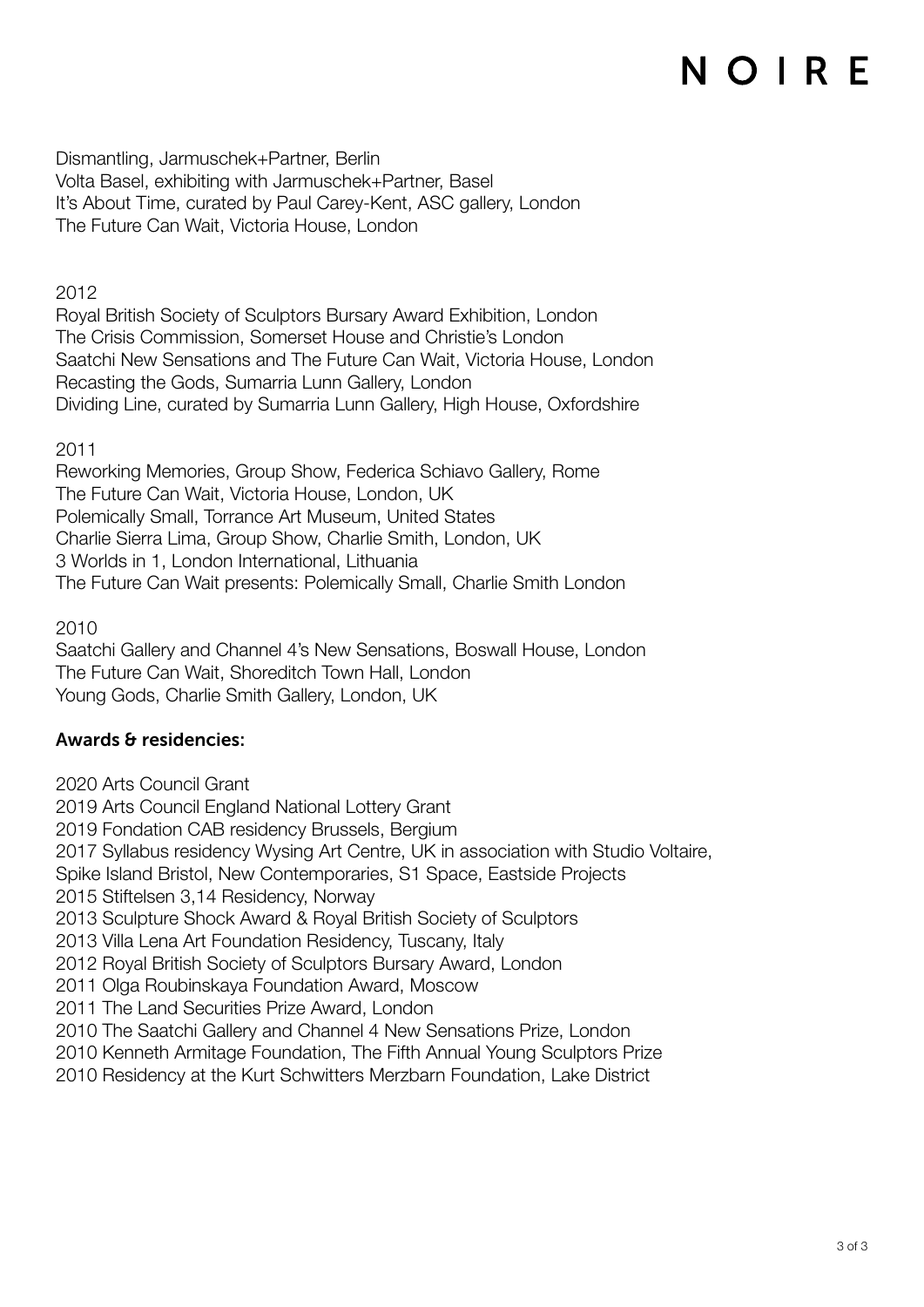Dismantling, Jarmuschek+Partner, Berlin Volta Basel, exhibiting with Jarmuschek+Partner, Basel It's About Time, curated by Paul Carey-Kent, ASC gallery, London The Future Can Wait, Victoria House, London

2012

Royal British Society of Sculptors Bursary Award Exhibition, London The Crisis Commission, Somerset House and Christie's London Saatchi New Sensations and The Future Can Wait, Victoria House, London Recasting the Gods, Sumarria Lunn Gallery, London Dividing Line, curated by Sumarria Lunn Gallery, High House, Oxfordshire

2011

Reworking Memories, Group Show, Federica Schiavo Gallery, Rome The Future Can Wait, Victoria House, London, UK Polemically Small, Torrance Art Museum, United States Charlie Sierra Lima, Group Show, Charlie Smith, London, UK 3 Worlds in 1, London International, Lithuania The Future Can Wait presents: Polemically Small, Charlie Smith London

2010

Saatchi Gallery and Channel 4's New Sensations, Boswall House, London The Future Can Wait, Shoreditch Town Hall, London Young Gods, Charlie Smith Gallery, London, UK

#### Awards & residencies:

2020 Arts Council Grant

2019 Arts Council England National Lottery Grant

2019 Fondation CAB residency Brussels, Bergium

2017 Syllabus residency Wysing Art Centre, UK in association with Studio Voltaire,

Spike Island Bristol, New Contemporaries, S1 Space, Eastside Projects

2015 Stiftelsen 3,14 Residency, Norway

2013 Sculpture Shock Award & Royal British Society of Sculptors

2013 Villa Lena Art Foundation Residency, Tuscany, Italy

2012 Royal British Society of Sculptors Bursary Award, London

2011 Olga Roubinskaya Foundation Award, Moscow

2011 The Land Securities Prize Award, London

2010 The Saatchi Gallery and Channel 4 New Sensations Prize, London

2010 Kenneth Armitage Foundation, The Fifth Annual Young Sculptors Prize

2010 Residency at the Kurt Schwitters Merzbarn Foundation, Lake District